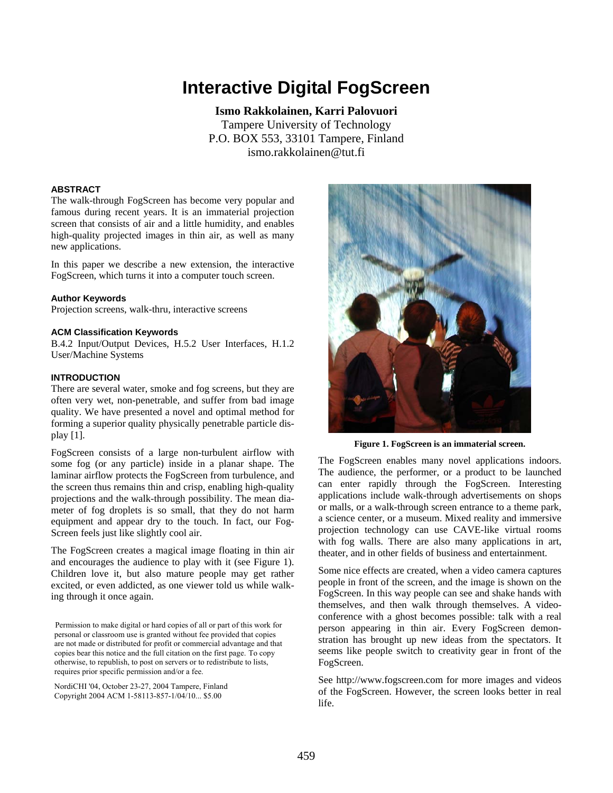# **Interactive Digital FogScreen**

**Ismo Rakkolainen, Karri Palovuori**  Tampere University of Technology P.O. BOX 553, 33101 Tampere, Finland ismo.rakkolainen@tut.fi

### **ABSTRACT**

The walk-through FogScreen has become very popular and famous during recent years. It is an immaterial projection screen that consists of air and a little humidity, and enables high-quality projected images in thin air, as well as many new applications.

In this paper we describe a new extension, the interactive FogScreen, which turns it into a computer touch screen.

#### **Author Keywords**

Projection screens, walk-thru, interactive screens

#### **ACM Classification Keywords**

B.4.2 Input/Output Devices, H.5.2 User Interfaces, H.1.2 User/Machine Systems

#### **INTRODUCTION**

There are several water, smoke and fog screens, but they are often very wet, non-penetrable, and suffer from bad image quality. We have presented a novel and optimal method for forming a superior quality physically penetrable particle display [1].

FogScreen consists of a large non-turbulent airflow with some fog (or any particle) inside in a planar shape. The laminar airflow protects the FogScreen from turbulence, and the screen thus remains thin and crisp, enabling high-quality projections and the walk-through possibility. The mean diameter of fog droplets is so small, that they do not harm equipment and appear dry to the touch. In fact, our Fog-Screen feels just like slightly cool air.

The FogScreen creates a magical image floating in thin air and encourages the audience to play with it (see Figure 1). Children love it, but also mature people may get rather excited, or even addicted, as one viewer told us while walking through it once again.

Permission to make digital or hard copies of all or part of this work for personal or classroom use is granted without fee provided that copies are not made or distributed for profit or commercial advantage and that copies bear this notice and the full citation on the first page. To copy otherwise, to republish, to post on servers or to redistribute to lists, requires prior specific permission and/or a fee.

NordiCHI '04, October 23-27, 2004 Tampere, Finland Copyright 2004 ACM 1-58113-857-1/04/10... \$5.00



**Figure 1. FogScreen is an immaterial screen.** 

The FogScreen enables many novel applications indoors. The audience, the performer, or a product to be launched can enter rapidly through the FogScreen. Interesting applications include walk-through advertisements on shops or malls, or a walk-through screen entrance to a theme park, a science center, or a museum. Mixed reality and immersive projection technology can use CAVE-like virtual rooms with fog walls. There are also many applications in art, theater, and in other fields of business and entertainment.

Some nice effects are created, when a video camera captures people in front of the screen, and the image is shown on the FogScreen. In this way people can see and shake hands with themselves, and then walk through themselves. A videoconference with a ghost becomes possible: talk with a real person appearing in thin air. Every FogScreen demonstration has brought up new ideas from the spectators. It seems like people switch to creativity gear in front of the FogScreen.

See http://www.fogscreen.com for more images and videos of the FogScreen. However, the screen looks better in real life.